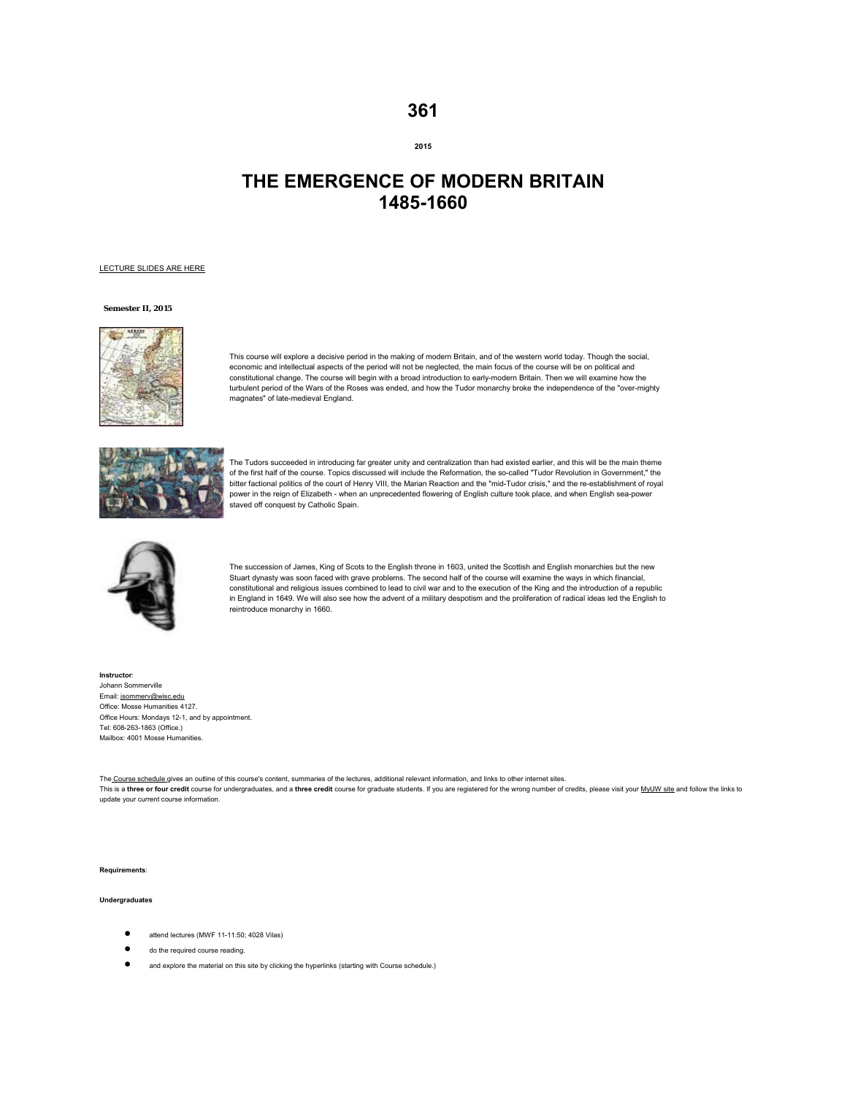# **361**

## **2015**

# **THE EMERGENCE OF MODERN BRITAIN 1485-1660**

#### LECTURE SLIDES ARE HERE

## **Semester II, 2015**



This course will explore a decisive period in the making of modern Britain, and of the western world today. Though the social, economic and intellectual aspects of the period will not be neglected, the main focus of the course will be on political and constitutional change. The course will begin with a broad introduction to early-modern Britain. Then we will examine how the turbulent period of the Wars of the Roses was ended, and how the Tudor monarchy broke the independence of the "over-mighty magnates" of late-medieval England.



The Tudors succeeded in introducing far greater unity and centralization than had existed earlier, and this will be the main theme of the first half of the course. Topics discussed will include the Reformation, the so-called "Tudor Revolution in Government," the bitter factional politics of the court of Henry VIII, the Marian Reaction and the "mid-Tudor crisis," and the re-establishment of royal power in the reign of Elizabeth - when an unprecedented flowering of English culture took place, and when English sea-power staved off conquest by Catholic Spain.



The succession of James, King of Scots to the English throne in 1603, united the Scottish and English monarchies but the new Stuart dynasty was soon faced with grave problems. The second half of the course will examine the ways in which financial, constitutional and religious issues combined to lead to civil war and to the execution of the King and the introduction of a republic in England in 1649. We will also see how the advent of a military despotism and the proliferation of radical ideas led the English to reintroduce monarchy in 1660.

**Instructor**: Johann Sommerville Email: jsommerv@wisc.edu Office: Mosse Humanities 4127. Office Hours: Mondays 12-1, and by appointment. Tel: 608-263-1863 (Office.) Mailbox: 4001 Mosse Humanities.

The Course schedule gives an outline of this course's content, summaries of the lectures, additional relevant information, and links to other internet sites. This is a three or four credit course for undergraduates, and a three credit course for graduate students. If you are registered for the wrong number of credits, please visit your MyUW site and follow the links to update your current course information.

**Requirements**:

#### **Undergraduates**

- attend lectures (MWF 11-11:50; 4028 Vilas)
- do the required course reading.
- and explore the material on this site by clicking the hyperlinks (starting with Course schedule.)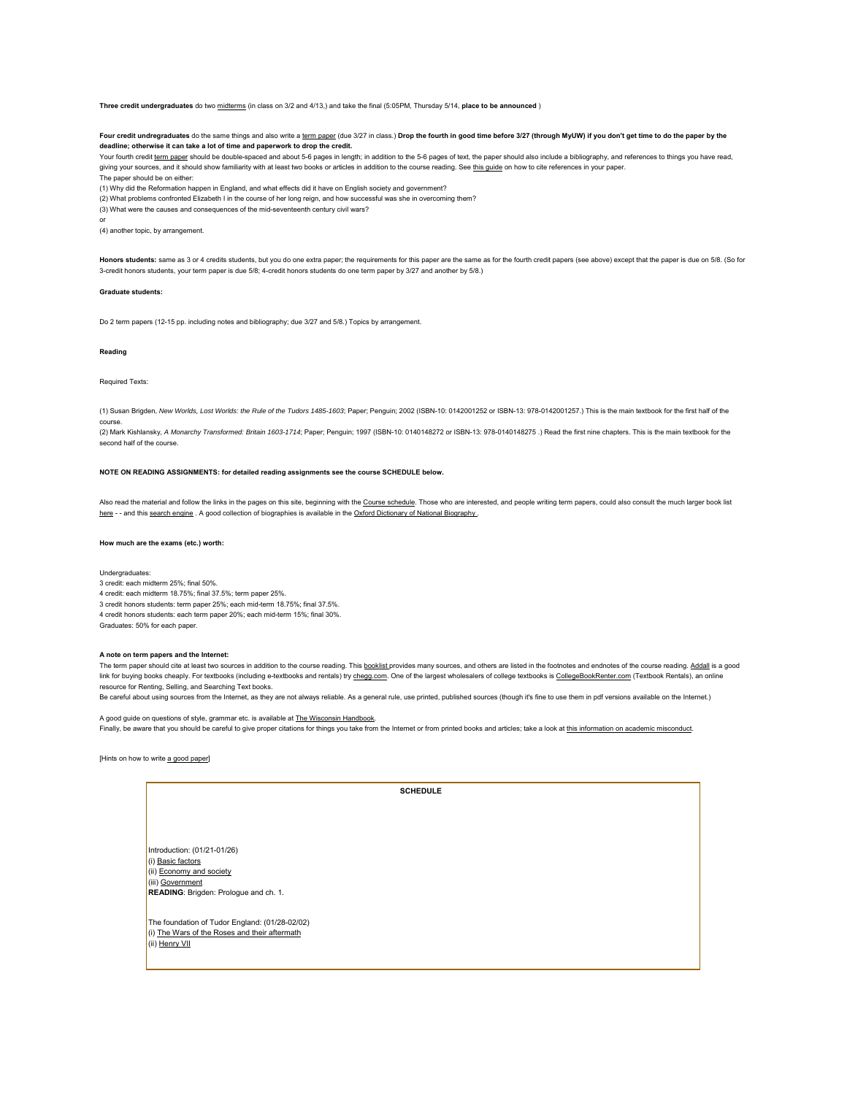**Three credit undergraduates** do two midterms (in class on 3/2 and 4/13,) and take the final (5:05PM, Thursday 5/14, **place to be announced** )

Four credit undregraduates do the same things and also write a term paper (due 3/27 in class.) Drop the fourth in good time before 3/27 (through MyUW) if you don't get time to do the paper by the **deadline; otherwise it can take a lot of time and paperwork to drop the credit.**

Your fourth credit term paper should be double-spaced and about 5-6 pages in length; in addition to the 5-6 pages of text, the paper should also include a bibliography, and references to things you have read, giving your sources, and it should show familiarity with at least two books or articles in addition to the course reading. See this quide on how to cite references in your paper.

The paper should be on either:

(1) Why did the Reformation happen in England, and what effects did it have on English society and government?

(2) What problems confronted Elizabeth I in the course of her long reign, and how successful was she in overcoming them?

(3) What were the causes and consequences of the mid-seventeenth century civil wars?

or

(4) another topic, by arrangement.

Honors students: same as 3 or 4 credits students, but you do one extra paper; the requirements for this paper are the same as for the fourth credit papers (see above) except that the paper is due on 5/8. (So for 3-credit honors students, your term paper is due 5/8; 4-credit honors students do one term paper by 3/27 and another by 5/8.)

#### **Graduate students:**

Do 2 term papers (12-15 pp. including notes and bibliography; due 3/27 and 5/8.) Topics by arrangement.

#### **Reading**

Required Texts:

(1) Susan Brigden, *New Worlds, Lost Worlds: the Rule of the Tudors 1485-1603*; Paper; Penguin; 2002 (ISBN-10: 0142001252 or ISBN-13: 978-0142001257.) This is the main textbook for the first half of the course.

(2) Mark Kishlansky, *A Monarchy Transformed: Britain 1603-1714*; Paper; Penguin; 1997 (ISBN-10: 0140148272 or ISBN-13: 978-0140148275 .) Read the first nine chapters. This is the main textbook for the second half of the course.

#### **NOTE ON READING ASSIGNMENTS: for detailed reading assignments see the course SCHEDULE below.**

Also read the material and follow the links in the pages on this site, beginning with the Course schedule. Those who are interested, and people writing term papers, could also consult the much larger book list here - - and this search engine . A good collection of biographies is available in the Oxford Dictionary of National Biography.

#### **How much are the exams (etc.) worth:**

Undergraduates:

3 credit: each midterm 25%; final 50%. 4 credit: each midterm 18.75%; final 37.5%; term paper 25%. 3 credit honors students: term paper 25%; each mid-term 18.75%; final 37.5%. 4 credit honors students: each term paper 20%; each mid-term 15%; final 30%. Graduates: 50% for each paper.

#### **A note on term papers and the Internet:**

The term paper should cite at least two sources in addition to the course reading. This booklist provides many sources, and others are listed in the footnotes and endnotes of the course reading. Addall is a good link for buying books cheaply. For textbooks (including e-textbooks and rentals) try chegg.com. One of the largest wholesalers of college textbooks is CollegeBookRenter.com (Textbook Rentals), an online resource for Renting, Selling, and Searching Text books.

Be careful about using sources from the Internet, as they are not always reliable. As a general rule, use printed, published sources (though it's fine to use them in pdf versions available on the Internet.)

A good guide on questions of style, grammar etc. is available at The Wisconsin Handbook. Finally, be aware that you should be careful to give proper citations for things you take from the Internet or from printed books and articles; take a look at this information on academic misconduct.

[Hints on how to write a good paper]

**SCHEDULE** 

Introduction: (01/21-01/26) (i) Basic factors (ii) Economy and society (iii) Government **READING**: Brigden: Prologue and ch. 1.

The foundation of Tudor England: (01/28-02/02) (i) The Wars of the Roses and their aftermath (ii) Henry VII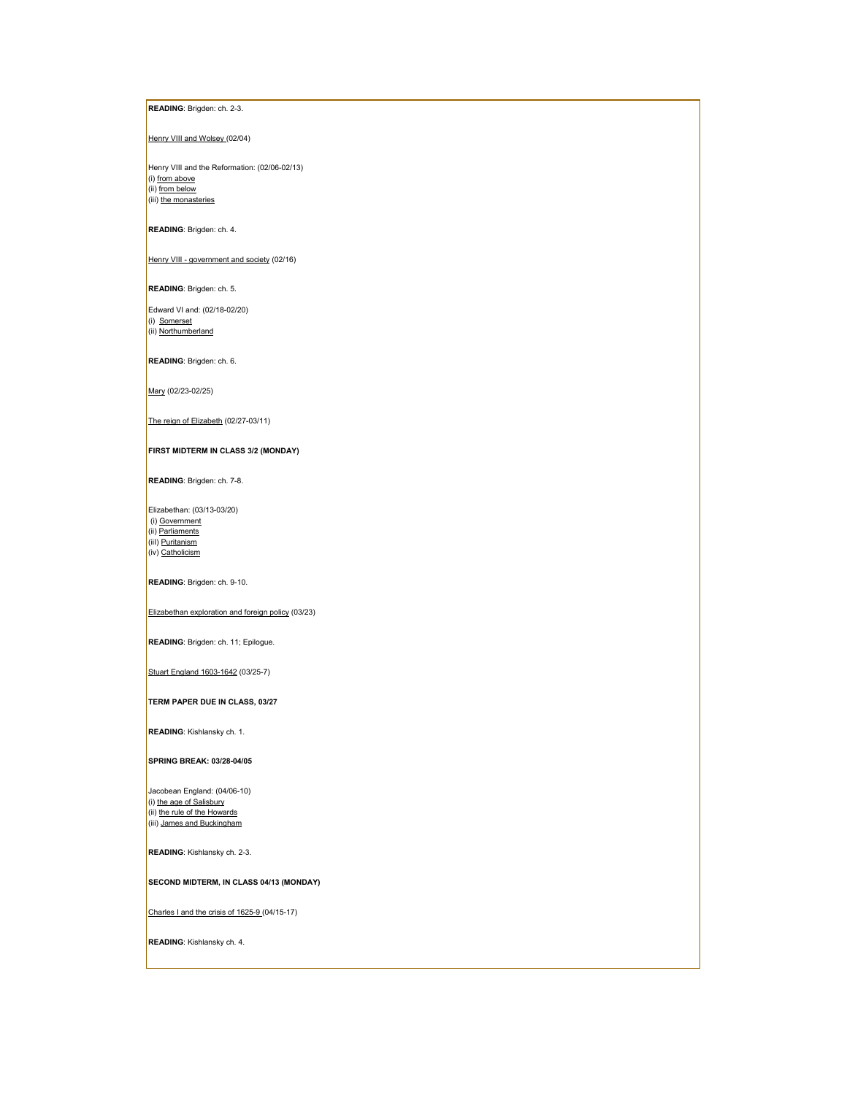## **READING**: Brigden: ch. 2-3.

## Henry VIII and Wolsey (02/04)

Henry VIII and the Reformation: (02/06-02/13) (i) from above (ii) from below (iii) the monasteries

## **READING**: Brigden: ch. 4.

Henry VIII - government and society (02/16)

## **READING**: Brigden: ch. 5.

 Edward VI and: (02/18-02/20) (i) Somerset (ii) Northumberland

#### **READING**: Brigden: ch. 6.

Mary (02/23-02/25)

## The reign of Elizabeth (02/27-03/11)

## **FIRST MIDTERM IN CLASS 3/2 (MONDAY)**

**READING**: Brigden: ch. 7-8.

Elizabethan: (03/13-03/20) (i) Government (ii) Parliaments (iil) **Puritanism** (iv) Catholicism

## **READING**: Brigden: ch. 9-10.

## Elizabethan exploration and foreign policy (03/23)

**READING**: Brigden: ch. 11; Epilogue.

## Stuart England 1603-1642 (03/25-7)

## **TERM PAPER DUE IN CLASS, 03/27**

**READING**: Kishlansky ch. 1.

#### **SPRING BREAK: 03/28-04/05**

Jacobean England: (04/06-10) (i) <u>the age of Salisbury</u><br>(ii) <u>the rule of the Howards</u> (iii) James and Buckingham

**READING**: Kishlansky ch. 2-3.

## **SECOND MIDTERM, IN CLASS 04/13 (MONDAY)**

Charles I and the crisis of 1625-9 (04/15-17)

**READING**: Kishlansky ch. 4.